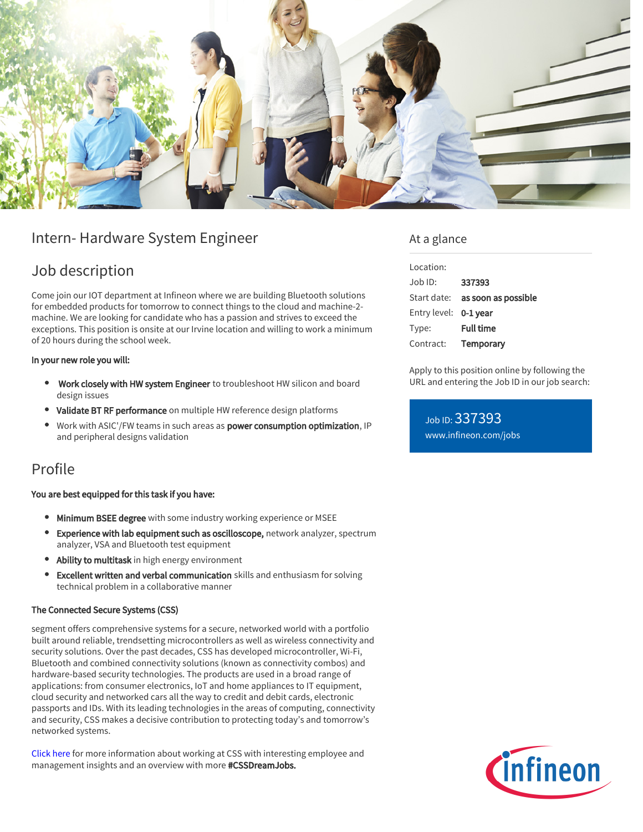

# Intern- Hardware System Engineer

## Job description

Come join our IOT department at Infineon where we are building Bluetooth solutions for embedded products for tomorrow to connect things to the cloud and machine-2 machine. We are looking for candidate who has a passion and strives to exceed the exceptions. This position is onsite at our Irvine location and willing to work a minimum of 20 hours during the school week.

#### In your new role you will:

- Work closely with HW system Engineer to troubleshoot HW silicon and board design issues
- Validate BT RF performance on multiple HW reference design platforms
- Work with ASIC'/FW teams in such areas as power consumption optimization, IP and peripheral designs validation

## Profile

### You are best equipped for this task if you have:

- **Minimum BSEE degree** with some industry working experience or MSEE
- Experience with lab equipment such as oscilloscope, network analyzer, spectrum analyzer, VSA and Bluetooth test equipment
- Ability to multitask in high energy environment
- Excellent written and verbal communication skills and enthusiasm for solving technical problem in a collaborative manner

### The Connected Secure Systems (CSS)

segment offers comprehensive systems for a secure, networked world with a portfolio built around reliable, trendsetting microcontrollers as well as wireless connectivity and security solutions. Over the past decades, CSS has developed microcontroller, Wi-Fi, Bluetooth and combined connectivity solutions (known as connectivity combos) and hardware-based security technologies. The products are used in a broad range of applications: from consumer electronics, IoT and home appliances to IT equipment, cloud security and networked cars all the way to credit and debit cards, electronic passports and IDs. With its leading technologies in the areas of computing, connectivity and security, CSS makes a decisive contribution to protecting today's and tomorrow's networked systems.

[Click here](https://www.infineon.com/cms/en/careers/working-at-infineon/cssdreamjob/) for more information about working at CSS with interesting employee and management insights and an overview with more #CSSDreamJobs.

### At a glance

| Location:             |                                        |
|-----------------------|----------------------------------------|
| $Joh$ ID:             | 337393                                 |
|                       | Start date: <b>as soon as possible</b> |
| Entry level: 0-1 year |                                        |
| Type:                 | <b>Full time</b>                       |
| Contract:             | Temporary                              |

Apply to this position online by following the URL and entering the Job ID in our job search:

Job ID: 337393 [www.infineon.com/jobs](https://www.infineon.com/jobs)